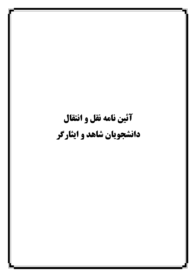## آئين نامه نقل و انتقال دانشجویان شاهد و ایثارگر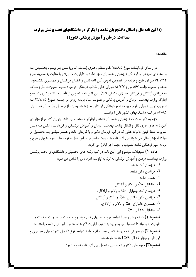## ((آئین نامه نقل و انتقال دانشجویان شاهد و ایثارگر در دانشگاههای تحت پوشش وزارت بهداشت، درمان و آموزش پزشکی کشور))

## مقدمه:

در راستای فرمایشات مورخ ۷۵/۸/۵ مقام معظم رهبری (مدظله العالی) مبنی بـر بهبـود بخشـیدن بـه برنامه های آموزشی و فرهنگی فرزندان و همسران معزز شاهد با «اولویت خاص» و با عنایت به مصوبه مورخ ٧٢/٧/١٣ شوراي طرح و برنامه در خصوص تدوين آئين نامه نقـل و انتقـال فرزنـدان و همسـران دانشـجوي شاهد و مصوبه جلسه ۵۶۴ مورخ ۸۴/۴/۷ شورای عالی انقلاب فرهنگی در مورد تعمیم تسهیلات طرح شـاهد به فرزندان آزادگان و فرزندان جانبازان ۵۰ الی ۶۹٪ ، این آئین نامه که پس از تأییـد سـتاد مرکـزی شـاهدو ایثارگر وزارت بهداشت، درمان و آموزش پزشکی و تصویب ستاد برنامه ریزی در جلسـه مـورخ ۸۴/۷/۲۵ بـه تصویب نهایی شورای طرح و برنامه امور فرهنگی فرزندان معزز شاهد رسید ، از نیمسال اول سـال تحصـیلی ۸۵–۸۴ در کلیه دانشگاههای کشور قابل اجراست.

لازم به ذکر است که فرزندان و همسران شاهد و ایثارگر همانند سـایر دانشـجویان کشـور از مزایـای آئین نامه های جاری نقل و انتقال وزارت بهداشت، درمان و آمـوزش پزشـکی برخوردارنـد ، لکـن بـه دليـل ضرورت حفظ کیان خانواده هائی که در آنها فرزندان ذکور و یا فرزندان اناث و همسر موفـق بـه تحصـیل در مراکز آموزش عالی می شوند این آئین نامه به صورت خاص برای این قبیل خانواده ها از سوی شورای طرح و برنامه امور فرهنگی شاهد تصویب و جهت اجرا ابلاغ می گردد.

**ماده ۱)** تسهیلات موضوع این آئین نامه در کلیه رشته های تحصیلی و دانشگاههای تحت پوشـش وزارت بهداشت، درمان و آموزش پزشکی به ترتیب اولویت، افراد ذیل را شامل می شود:

قبل موضـوع مـاده ۱، در صـورت عـدم تكميـل

**تبصره۳)** دوره های دکتری تخصصی مشمول این آئین نامه نخواهند بود.